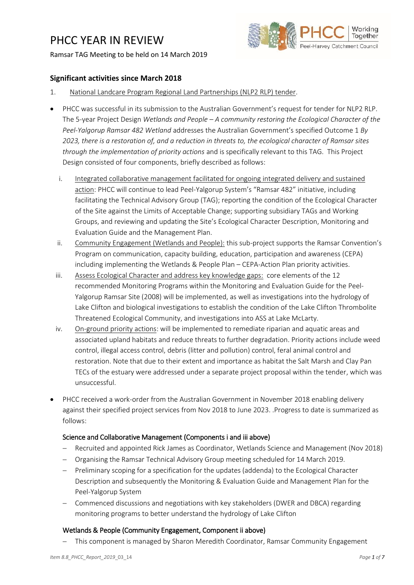# PHCC YEAR IN REVIEW

### Ramsar TAG Meeting to be held on 14 March 2019



## **Significant activities since March 2018**

- 1. National Landcare Program Regional Land Partnerships (NLP2 RLP) tender.
- PHCC was successful in its submission to the Australian Government's request for tender for NLP2 RLP. The 5-year Project Design *Wetlands and People – A community restoring the Ecological Character of the Peel-Yalgorup Ramsar 482 Wetland* addresses the Australian Government's specified Outcome 1 *By 2023, there is a restoration of, and a reduction in threats to, the ecological character of Ramsar sites through the implementation of priority actions* and is specifically relevant to this TAG. This Project Design consisted of four components, briefly described as follows:
	- i. Integrated collaborative management facilitated for ongoing integrated delivery and sustained action: PHCC will continue to lead Peel-Yalgorup System's "Ramsar 482" initiative, including facilitating the Technical Advisory Group (TAG); reporting the condition of the Ecological Character of the Site against the Limits of Acceptable Change; supporting subsidiary TAGs and Working Groups, and reviewing and updating the Site's Ecological Character Description, Monitoring and Evaluation Guide and the Management Plan.
	- ii. Community Engagement (Wetlands and People): this sub-project supports the Ramsar Convention's Program on communication, capacity building, education, participation and awareness (CEPA) including implementing the Wetlands & People Plan – CEPA-Action Plan priority activities.
	- iii. Assess Ecological Character and address key knowledge gaps: core elements of the 12 recommended Monitoring Programs within the Monitoring and Evaluation Guide for the Peel-Yalgorup Ramsar Site (2008) will be implemented, as well as investigations into the hydrology of Lake Clifton and biological investigations to establish the condition of the Lake Clifton Thrombolite Threatened Ecological Community, and investigations into ASS at Lake McLarty.
- iv. On-ground priority actions: will be implemented to remediate riparian and aquatic areas and associated upland habitats and reduce threats to further degradation. Priority actions include weed control, illegal access control, debris (litter and pollution) control, feral animal control and restoration. Note that due to their extent and importance as habitat the Salt Marsh and Clay Pan TECs of the estuary were addressed under a separate project proposal within the tender, which was unsuccessful.
- PHCC received a work-order from the Australian Government in November 2018 enabling delivery against their specified project services from Nov 2018 to June 2023. .Progress to date is summarized as follows:

# Science and Collaborative Management (Components i and iii above)

- Recruited and appointed Rick James as Coordinator, Wetlands Science and Management (Nov 2018)
- Organising the Ramsar Technical Advisory Group meeting scheduled for 14 March 2019.
- Preliminary scoping for a specification for the updates (addenda) to the Ecological Character Description and subsequently the Monitoring & Evaluation Guide and Management Plan for the Peel-Yalgorup System
- Commenced discussions and negotiations with key stakeholders (DWER and DBCA) regarding monitoring programs to better understand the hydrology of Lake Clifton

#### Wetlands & People (Community Engagement, Component ii above)

This component is managed by Sharon Meredith Coordinator, Ramsar Community Engagement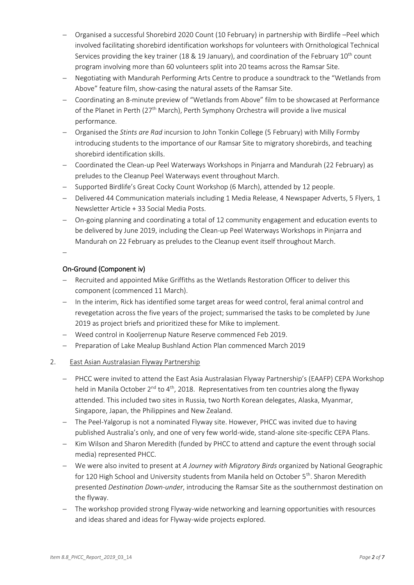- Organised a successful Shorebird 2020 Count (10 February) in partnership with Birdlife –Peel which involved facilitating shorebird identification workshops for volunteers with Ornithological Technical Services providing the key trainer (18 & 19 January), and coordination of the February  $10^{th}$  count program involving more than 60 volunteers split into 20 teams across the Ramsar Site.
- Negotiating with Mandurah Performing Arts Centre to produce a soundtrack to the "Wetlands from Above" feature film, show-casing the natural assets of the Ramsar Site.
- Coordinating an 8-minute preview of "Wetlands from Above" film to be showcased at Performance of the Planet in Perth (27<sup>th</sup> March), Perth Symphony Orchestra will provide a live musical performance.
- Organised the *Stints are Rad* incursion to John Tonkin College (5 February) with Milly Formby introducing students to the importance of our Ramsar Site to migratory shorebirds, and teaching shorebird identification skills.
- Coordinated the Clean-up Peel Waterways Workshops in Pinjarra and Mandurah (22 February) as preludes to the Cleanup Peel Waterways event throughout March.
- Supported Birdlife's Great Cocky Count Workshop (6 March), attended by 12 people.
- Delivered 44 Communication materials including 1 Media Release, 4 Newspaper Adverts, 5 Flyers, 1 Newsletter Article + 33 Social Media Posts.
- On-going planning and coordinating a total of 12 community engagement and education events to be delivered by June 2019, including the Clean-up Peel Waterways Workshops in Pinjarra and Mandurah on 22 February as preludes to the Cleanup event itself throughout March.

 $\overline{a}$ 

# On-Ground (Component iv)

- Recruited and appointed Mike Griffiths as the Wetlands Restoration Officer to deliver this component (commenced 11 March).
- In the interim, Rick has identified some target areas for weed control, feral animal control and revegetation across the five years of the project; summarised the tasks to be completed by June 2019 as project briefs and prioritized these for Mike to implement.
- Weed control in Kooljerrenup Nature Reserve commenced Feb 2019.
- Preparation of Lake Mealup Bushland Action Plan commenced March 2019

# 2. East Asian Australasian Flyway Partnership

- PHCC were invited to attend the East Asia Australasian Flyway Partnership's (EAAFP) CEPA Workshop held in Manila October  $2^{nd}$  to  $4^{th}$ , 2018. Representatives from ten countries along the flyway attended. This included two sites in Russia, two North Korean delegates, Alaska, Myanmar, Singapore, Japan, the Philippines and New Zealand.
- The Peel-Yalgorup is not a nominated Flyway site. However, PHCC was invited due to having published Australia's only, and one of very few world-wide, stand-alone site-specific CEPA Plans.
- Kim Wilson and Sharon Meredith (funded by PHCC to attend and capture the event through social media) represented PHCC.
- We were also invited to present at *A Journey with Migratory Birds* organized by National Geographic for 120 High School and University students from Manila held on October 5<sup>th</sup>. Sharon Meredith presented *Destination Down-under*, introducing the Ramsar Site as the southernmost destination on the flyway.
- The workshop provided strong Flyway-wide networking and learning opportunities with resources and ideas shared and ideas for Flyway-wide projects explored.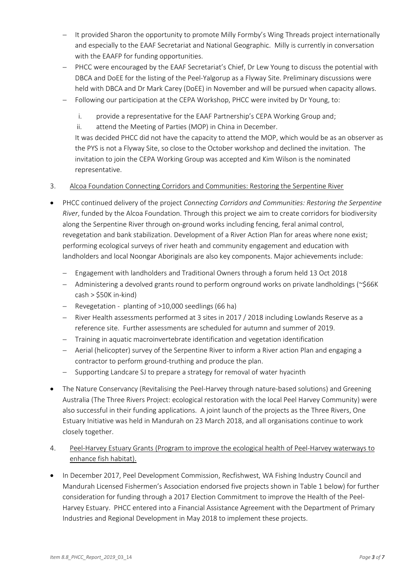- It provided Sharon the opportunity to promote Milly Formby's Wing Threads project internationally and especially to the EAAF Secretariat and National Geographic. Milly is currently in conversation with the EAAFP for funding opportunities.
- PHCC were encouraged by the EAAF Secretariat's Chief, Dr Lew Young to discuss the potential with DBCA and DoEE for the listing of the Peel-Yalgorup as a Flyway Site. Preliminary discussions were held with DBCA and Dr Mark Carey (DoEE) in November and will be pursued when capacity allows.
- Following our participation at the CEPA Workshop, PHCC were invited by Dr Young, to:
	- i. provide a representative for the EAAF Partnership's CEPA Working Group and;
	- ii. attend the Meeting of Parties (MOP) in China in December.

It was decided PHCC did not have the capacity to attend the MOP, which would be as an observer as the PYS is not a Flyway Site, so close to the October workshop and declined the invitation. The invitation to join the CEPA Working Group was accepted and Kim Wilson is the nominated representative.

# 3. Alcoa Foundation Connecting Corridors and Communities: Restoring the Serpentine River

- PHCC continued delivery of the project *Connecting Corridors and Communities: Restoring the Serpentine River*, funded by the Alcoa Foundation. Through this project we aim to create corridors for biodiversity along the Serpentine River through on-ground works including fencing, feral animal control, revegetation and bank stabilization. Development of a River Action Plan for areas where none exist; performing ecological surveys of river heath and community engagement and education with landholders and local Noongar Aboriginals are also key components. Major achievements include:
	- Engagement with landholders and Traditional Owners through a forum held 13 Oct 2018
	- $-$  Administering a devolved grants round to perform onground works on private landholdings (~\$66K  $cash > $50K$  in-kind)
	- Revegetation planting of >10,000 seedlings (66 ha)
	- River Health assessments performed at 3 sites in 2017 / 2018 including Lowlands Reserve as a reference site. Further assessments are scheduled for autumn and summer of 2019.
	- Training in aquatic macroinvertebrate identification and vegetation identification
	- Aerial (helicopter) survey of the Serpentine River to inform a River action Plan and engaging a contractor to perform ground-truthing and produce the plan.
	- Supporting Landcare SJ to prepare a strategy for removal of water hyacinth
- The Nature Conservancy (Revitalising the Peel-Harvey through nature-based solutions) and Greening Australia (The Three Rivers Project: ecological restoration with the local Peel Harvey Community) were also successful in their funding applications. A joint launch of the projects as the Three Rivers, One Estuary Initiative was held in Mandurah on 23 March 2018, and all organisations continue to work closely together.
- 4. Peel-Harvey Estuary Grants (Program to improve the ecological health of Peel-Harvey waterways to enhance fish habitat).
- In December 2017, Peel Development Commission, Recfishwest, WA Fishing Industry Council and Mandurah Licensed Fishermen's Association endorsed five projects shown in Table 1 below) for further consideration for funding through a 2017 Election Commitment to improve the Health of the Peel-Harvey Estuary. PHCC entered into a Financial Assistance Agreement with the Department of Primary Industries and Regional Development in May 2018 to implement these projects.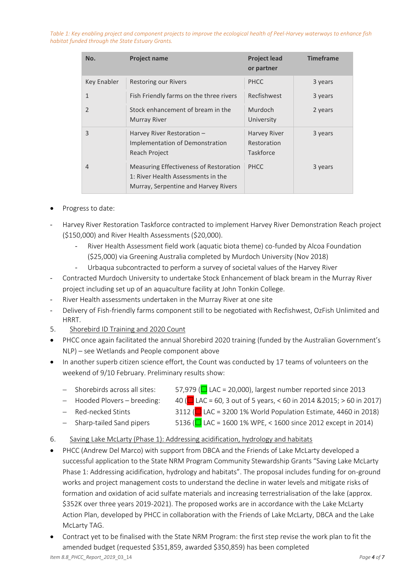*Table 1: Key enabling project and component projects to improve the ecological health of Peel-Harvey waterways to enhance fish habitat funded through the State Estuary Grants.*

| No.           | <b>Project name</b>                                                                                                  | <b>Project lead</b><br>or partner               | <b>Timeframe</b> |
|---------------|----------------------------------------------------------------------------------------------------------------------|-------------------------------------------------|------------------|
| Key Enabler   | <b>Restoring our Rivers</b>                                                                                          | <b>PHCC</b>                                     | 3 years          |
| $\mathbf{1}$  | Fish Friendly farms on the three rivers                                                                              | Recfishwest                                     | 3 years          |
| $\mathcal{P}$ | Stock enhancement of bream in the<br><b>Murray River</b>                                                             | Murdoch<br>University                           | 2 years          |
| 3             | Harvey River Restoration -<br>Implementation of Demonstration<br>Reach Project                                       | Harvey River<br>Restoration<br><b>Taskforce</b> | 3 years          |
| 4             | Measuring Effectiveness of Restoration<br>1: River Health Assessments in the<br>Murray, Serpentine and Harvey Rivers | PHCC                                            | 3 years          |

- Progress to date:
- Harvey River Restoration Taskforce contracted to implement Harvey River Demonstration Reach project (\$150,000) and River Health Assessments (\$20,000).
	- River Health Assessment field work (aquatic biota theme) co-funded by Alcoa Foundation (\$25,000) via Greening Australia completed by Murdoch University (Nov 2018)
		- Urbaqua subcontracted to perform a survey of societal values of the Harvey River
- Contracted Murdoch University to undertake Stock Enhancement of black bream in the Murray River project including set up of an aquaculture facility at John Tonkin College.
- River Health assessments undertaken in the Murray River at one site
- Delivery of Fish-friendly farms component still to be negotiated with Recfishwest, OzFish Unlimited and HRRT.
- 5. Shorebird ID Training and 2020 Count
- PHCC once again facilitated the annual Shorebird 2020 training (funded by the Australian Government's NLP) – see Wetlands and People component above
- In another superb citizen science effort, the Count was conducted by 17 teams of volunteers on the weekend of 9/10 February. Preliminary results show:
	- Shorebirds across all sites:  $57,979$  ( $\Box$  LAC = 20,000), largest number reported since 2013
		-
		- $-$  Hooded Plovers breeding: 40 ( $\Box$  LAC = 60, 3 out of 5 years, < 60 in 2014 & 2015; > 60 in 2017)
		- $-$  Red-necked Stints 3112 ( $\Box$  LAC = 3200 1% World Population Estimate, 4460 in 2018)
		-
		- Sharp-tailed Sand pipers  $5136 (\Box$  LAC = 1600 1% WPE, < 1600 since 2012 except in 2014)
- 6. Saving Lake McLarty (Phase 1): Addressing acidification, hydrology and habitats
- PHCC (Andrew Del Marco) with support from DBCA and the Friends of Lake McLarty developed a successful application to the State NRM Program Community Stewardship Grants "Saving Lake McLarty Phase 1: Addressing acidification, hydrology and habitats". The proposal includes funding for on-ground works and project management costs to understand the decline in water levels and mitigate risks of formation and oxidation of acid sulfate materials and increasing terrestrialisation of the lake (approx. \$352K over three years 2019-2021). The proposed works are in accordance with the Lake McLarty Action Plan, developed by PHCC in collaboration with the Friends of Lake McLarty, DBCA and the Lake McLarty TAG.
- Contract yet to be finalised with the State NRM Program: the first step revise the work plan to fit the amended budget (requested \$351,859, awarded \$350,859) has been completed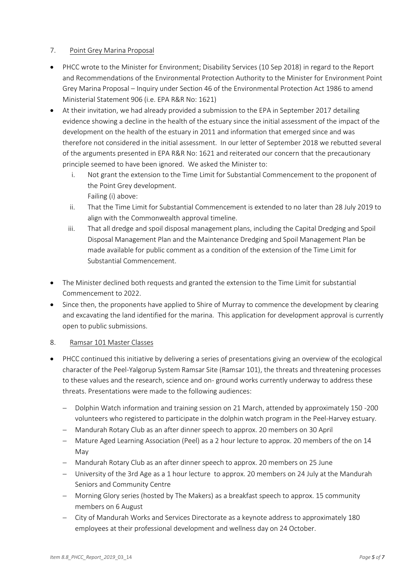# 7. Point Grey Marina Proposal

- PHCC wrote to the Minister for Environment; Disability Services (10 Sep 2018) in regard to the Report and Recommendations of the Environmental Protection Authority to the Minister for Environment Point Grey Marina Proposal – Inquiry under Section 46 of the Environmental Protection Act 1986 to amend Ministerial Statement 906 (i.e. EPA R&R No: 1621)
- At their invitation, we had already provided a submission to the EPA in September 2017 detailing evidence showing a decline in the health of the estuary since the initial assessment of the impact of the development on the health of the estuary in 2011 and information that emerged since and was therefore not considered in the initial assessment. In our letter of September 2018 we rebutted several of the arguments presented in EPA R&R No: 1621 and reiterated our concern that the precautionary principle seemed to have been ignored. We asked the Minister to:
	- i. Not grant the extension to the Time Limit for Substantial Commencement to the proponent of the Point Grey development. Failing (i) above:
	- ii. That the Time Limit for Substantial Commencement is extended to no later than 28 July 2019 to align with the Commonwealth approval timeline.
	- iii. That all dredge and spoil disposal management plans, including the Capital Dredging and Spoil Disposal Management Plan and the Maintenance Dredging and Spoil Management Plan be made available for public comment as a condition of the extension of the Time Limit for Substantial Commencement.
- The Minister declined both requests and granted the extension to the Time Limit for substantial Commencement to 2022.
- Since then, the proponents have applied to Shire of Murray to commence the development by clearing and excavating the land identified for the marina. This application for development approval is currently open to public submissions.

# 8. Ramsar 101 Master Classes

- PHCC continued this initiative by delivering a series of presentations giving an overview of the ecological character of the Peel-Yalgorup System Ramsar Site (Ramsar 101), the threats and threatening processes to these values and the research, science and on- ground works currently underway to address these threats. Presentations were made to the following audiences:
	- Dolphin Watch information and training session on 21 March, attended by approximately 150 -200 volunteers who registered to participate in the dolphin watch program in the Peel-Harvey estuary.
	- Mandurah Rotary Club as an after dinner speech to approx. 20 members on 30 April
	- Mature Aged Learning Association (Peel) as a 2 hour lecture to approx. 20 members of the on 14 May
	- Mandurah Rotary Club as an after dinner speech to approx. 20 members on 25 June
	- University of the 3rd Age as a 1 hour lecture to approx. 20 members on 24 July at the Mandurah Seniors and Community Centre
	- Morning Glory series (hosted by The Makers) as a breakfast speech to approx. 15 community members on 6 August
	- City of Mandurah Works and Services Directorate as a keynote address to approximately 180 employees at their professional development and wellness day on 24 October.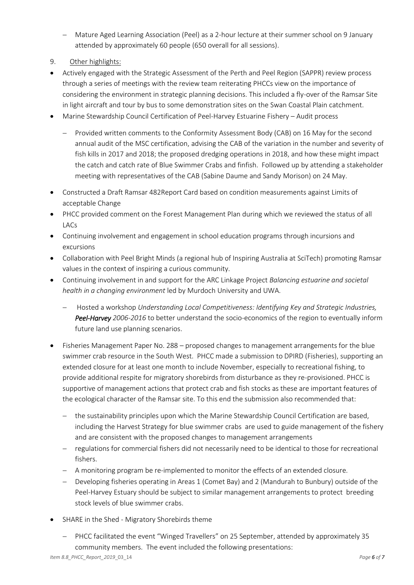- Mature Aged Learning Association (Peel) as a 2-hour lecture at their summer school on 9 January attended by approximately 60 people (650 overall for all sessions).
- 9. Other highlights:
- Actively engaged with the Strategic Assessment of the Perth and Peel Region (SAPPR) review process through a series of meetings with the review team reiterating PHCCs view on the importance of considering the environment in strategic planning decisions. This included a fly-over of the Ramsar Site in light aircraft and tour by bus to some demonstration sites on the Swan Coastal Plain catchment.
- Marine Stewardship Council Certification of Peel-Harvey Estuarine Fishery Audit process
	- Provided written comments to the Conformity Assessment Body (CAB) on 16 May for the second annual audit of the MSC certification, advising the CAB of the variation in the number and severity of fish kills in 2017 and 2018; the proposed dredging operations in 2018, and how these might impact the catch and catch rate of Blue Swimmer Crabs and finfish. Followed up by attending a stakeholder meeting with representatives of the CAB (Sabine Daume and Sandy Morison) on 24 May.
- Constructed a Draft Ramsar 482Report Card based on condition measurements against Limits of acceptable Change
- PHCC provided comment on the Forest Management Plan during which we reviewed the status of all LACs
- Continuing involvement and engagement in school education programs through incursions and excursions
- Collaboration with Peel Bright Minds (a regional hub of Inspiring Australia at SciTech) promoting Ramsar values in the context of inspiring a curious community.
- Continuing involvement in and support for the ARC Linkage Project *Balancing estuarine and societal health in a changing environment* led by Murdoch University and UWA.
	- Hosted a workshop *Understanding Local Competitiveness: Identifying Key and Strategic Industries, Peel-Harvey 2006-2016* to better understand the socio-economics of the region to eventually inform future land use planning scenarios.
- Fisheries Management Paper No. 288 proposed changes to management arrangements for the blue swimmer crab resource in the South West. PHCC made a submission to DPIRD (Fisheries), supporting an extended closure for at least one month to include November, especially to recreational fishing, to provide additional respite for migratory shorebirds from disturbance as they re-provisioned. PHCC is supportive of management actions that protect crab and fish stocks as these are important features of the ecological character of the Ramsar site. To this end the submission also recommended that:
	- the sustainability principles upon which the Marine Stewardship Council Certification are based, including the Harvest Strategy for blue swimmer crabs are used to guide management of the fishery and are consistent with the proposed changes to management arrangements
	- regulations for commercial fishers did not necessarily need to be identical to those for recreational fishers.
	- A monitoring program be re-implemented to monitor the effects of an extended closure.
	- Developing fisheries operating in Areas 1 (Comet Bay) and 2 (Mandurah to Bunbury) outside of the Peel-Harvey Estuary should be subject to similar management arrangements to protect breeding stock levels of blue swimmer crabs.
- SHARE in the Shed Migratory Shorebirds theme
	- PHCC facilitated the event "Winged Travellers" on 25 September, attended by approximately 35 community members. The event included the following presentations: